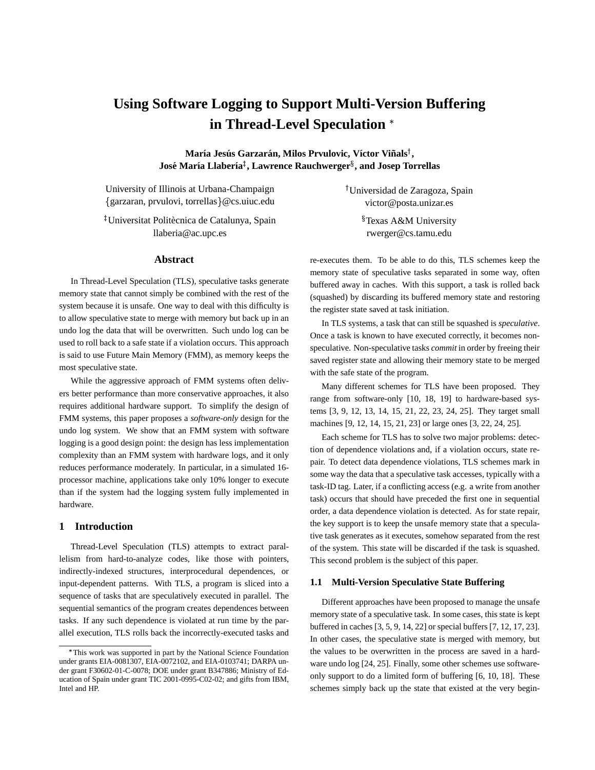# **Using Software Logging to Support Multi-Version Buffering in Thread-Level Speculation**

 ${\bf M}$ aría Jesús Garzarán, Milos Prvulovic, Víctor Viñals $^\dagger,$  $\boldsymbol{\mathrm{Jos}}$ е́ María Llabería $^{\ddagger}$ , Lawrence Rauchwerger $^{\S}$ , and Josep Torrellas

University of Illinois at Urbana-Champaign garzaran, prvulovi, torrellas @cs.uiuc.edu

<sup>‡</sup>Universitat Politècnica de Catalunya, Spain llaberia@ac.upc.es

#### **Abstract**

In Thread-Level Speculation (TLS), speculative tasks generate memory state that cannot simply be combined with the rest of the system because it is unsafe. One way to deal with this difficulty is to allow speculative state to merge with memory but back up in an undo log the data that will be overwritten. Such undo log can be used to roll back to a safe state if a violation occurs. This approach is said to use Future Main Memory (FMM), as memory keeps the most speculative state.

While the aggressive approach of FMM systems often delivers better performance than more conservative approaches, it also requires additional hardware support. To simplify the design of FMM systems, this paper proposes a *software-only* design for the undo log system. We show that an FMM system with software logging is a good design point: the design has less implementation complexity than an FMM system with hardware logs, and it only reduces performance moderately. In particular, in a simulated 16 processor machine, applications take only 10% longer to execute than if the system had the logging system fully implemented in hardware.

# **1 Introduction**

Thread-Level Speculation (TLS) attempts to extract parallelism from hard-to-analyze codes, like those with pointers, indirectly-indexed structures, interprocedural dependences, or input-dependent patterns. With TLS, a program is sliced into a sequence of tasks that are speculatively executed in parallel. The sequential semantics of the program creates dependences between tasks. If any such dependence is violated at run time by the parallel execution, TLS rolls back the incorrectly-executed tasks and  Universidad de Zaragoza, Spain victor@posta.unizar.es

> Texas A&M University rwerger@cs.tamu.edu

re-executes them. To be able to do this, TLS schemes keep the memory state of speculative tasks separated in some way, often buffered away in caches. With this support, a task is rolled back (squashed) by discarding its buffered memory state and restoring the register state saved at task initiation.

In TLS systems, a task that can still be squashed is *speculative*. Once a task is known to have executed correctly, it becomes nonspeculative. Non-speculative tasks *commit* in order by freeing their saved register state and allowing their memory state to be merged with the safe state of the program.

Many different schemes for TLS have been proposed. They range from software-only [10, 18, 19] to hardware-based systems [3, 9, 12, 13, 14, 15, 21, 22, 23, 24, 25]. They target small machines [9, 12, 14, 15, 21, 23] or large ones [3, 22, 24, 25].

Each scheme for TLS has to solve two major problems: detection of dependence violations and, if a violation occurs, state repair. To detect data dependence violations, TLS schemes mark in some way the data that a speculative task accesses, typically with a task-ID tag. Later, if a conflicting access (e.g. a write from another task) occurs that should have preceded the first one in sequential order, a data dependence violation is detected. As for state repair, the key support is to keep the unsafe memory state that a speculative task generates as it executes, somehow separated from the rest of the system. This state will be discarded if the task is squashed. This second problem is the subject of this paper.

### **1.1 Multi-Version Speculative State Buffering**

Different approaches have been proposed to manage the unsafe memory state of a speculative task. In some cases, this state is kept buffered in caches [3, 5, 9, 14, 22] or special buffers [7, 12, 17, 23]. In other cases, the speculative state is merged with memory, but the values to be overwritten in the process are saved in a hardware undo log [24, 25]. Finally, some other schemes use softwareonly support to do a limited form of buffering [6, 10, 18]. These schemes simply back up the state that existed at the very begin-

This work was supported in part by the National Science Foundation under grants EIA-0081307, EIA-0072102, and EIA-0103741; DARPA under grant F30602-01-C-0078; DOE under grant B347886; Ministry of Education of Spain under grant TIC 2001-0995-C02-02; and gifts from IBM, Intel and HP.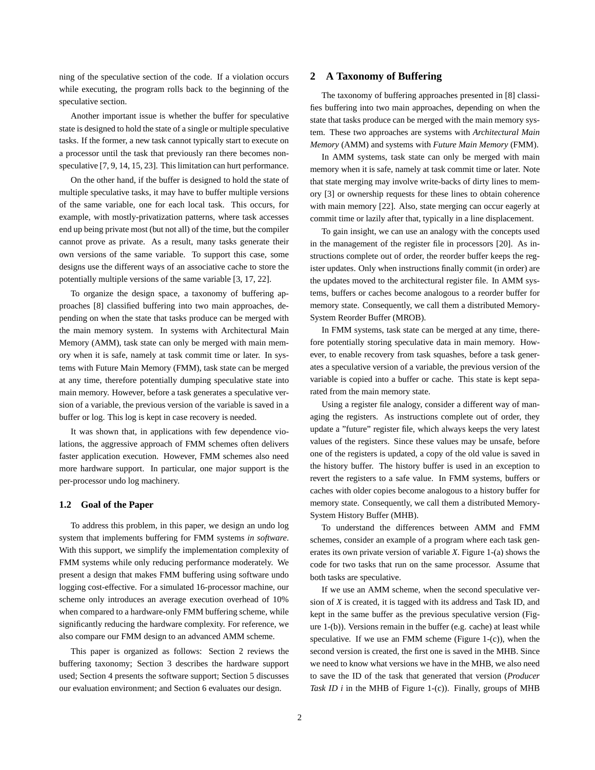ning of the speculative section of the code. If a violation occurs while executing, the program rolls back to the beginning of the speculative section.

Another important issue is whether the buffer for speculative state is designed to hold the state of a single or multiple speculative tasks. If the former, a new task cannot typically start to execute on a processor until the task that previously ran there becomes nonspeculative [7, 9, 14, 15, 23]. This limitation can hurt performance.

On the other hand, if the buffer is designed to hold the state of multiple speculative tasks, it may have to buffer multiple versions of the same variable, one for each local task. This occurs, for example, with mostly-privatization patterns, where task accesses end up being private most (but not all) of the time, but the compiler cannot prove as private. As a result, many tasks generate their own versions of the same variable. To support this case, some designs use the different ways of an associative cache to store the potentially multiple versions of the same variable [3, 17, 22].

To organize the design space, a taxonomy of buffering approaches [8] classified buffering into two main approaches, depending on when the state that tasks produce can be merged with the main memory system. In systems with Architectural Main Memory (AMM), task state can only be merged with main memory when it is safe, namely at task commit time or later. In systems with Future Main Memory (FMM), task state can be merged at any time, therefore potentially dumping speculative state into main memory. However, before a task generates a speculative version of a variable, the previous version of the variable is saved in a buffer or log. This log is kept in case recovery is needed.

It was shown that, in applications with few dependence violations, the aggressive approach of FMM schemes often delivers faster application execution. However, FMM schemes also need more hardware support. In particular, one major support is the per-processor undo log machinery.

#### **1.2 Goal of the Paper**

To address this problem, in this paper, we design an undo log system that implements buffering for FMM systems *in software*. With this support, we simplify the implementation complexity of FMM systems while only reducing performance moderately. We present a design that makes FMM buffering using software undo logging cost-effective. For a simulated 16-processor machine, our scheme only introduces an average execution overhead of 10% when compared to a hardware-only FMM buffering scheme, while significantly reducing the hardware complexity. For reference, we also compare our FMM design to an advanced AMM scheme.

This paper is organized as follows: Section 2 reviews the buffering taxonomy; Section 3 describes the hardware support used; Section 4 presents the software support; Section 5 discusses our evaluation environment; and Section 6 evaluates our design.

## **2 A Taxonomy of Buffering**

The taxonomy of buffering approaches presented in [8] classifies buffering into two main approaches, depending on when the state that tasks produce can be merged with the main memory system. These two approaches are systems with *Architectural Main Memory* (AMM) and systems with *Future Main Memory* (FMM).

In AMM systems, task state can only be merged with main memory when it is safe, namely at task commit time or later. Note that state merging may involve write-backs of dirty lines to memory [3] or ownership requests for these lines to obtain coherence with main memory [22]. Also, state merging can occur eagerly at commit time or lazily after that, typically in a line displacement.

To gain insight, we can use an analogy with the concepts used in the management of the register file in processors [20]. As instructions complete out of order, the reorder buffer keeps the register updates. Only when instructions finally commit (in order) are the updates moved to the architectural register file. In AMM systems, buffers or caches become analogous to a reorder buffer for memory state. Consequently, we call them a distributed Memory-System Reorder Buffer (MROB).

In FMM systems, task state can be merged at any time, therefore potentially storing speculative data in main memory. However, to enable recovery from task squashes, before a task generates a speculative version of a variable, the previous version of the variable is copied into a buffer or cache. This state is kept separated from the main memory state.

Using a register file analogy, consider a different way of managing the registers. As instructions complete out of order, they update a "future" register file, which always keeps the very latest values of the registers. Since these values may be unsafe, before one of the registers is updated, a copy of the old value is saved in the history buffer. The history buffer is used in an exception to revert the registers to a safe value. In FMM systems, buffers or caches with older copies become analogous to a history buffer for memory state. Consequently, we call them a distributed Memory-System History Buffer (MHB).

To understand the differences between AMM and FMM schemes, consider an example of a program where each task generates its own private version of variable *X*. Figure 1-(a) shows the code for two tasks that run on the same processor. Assume that both tasks are speculative.

If we use an AMM scheme, when the second speculative version of *X* is created, it is tagged with its address and Task ID, and kept in the same buffer as the previous speculative version (Figure 1-(b)). Versions remain in the buffer (e.g. cache) at least while speculative. If we use an FMM scheme (Figure 1-(c)), when the second version is created, the first one is saved in the MHB. Since we need to know what versions we have in the MHB, we also need to save the ID of the task that generated that version (*Producer Task ID i* in the MHB of Figure 1-(c)). Finally, groups of MHB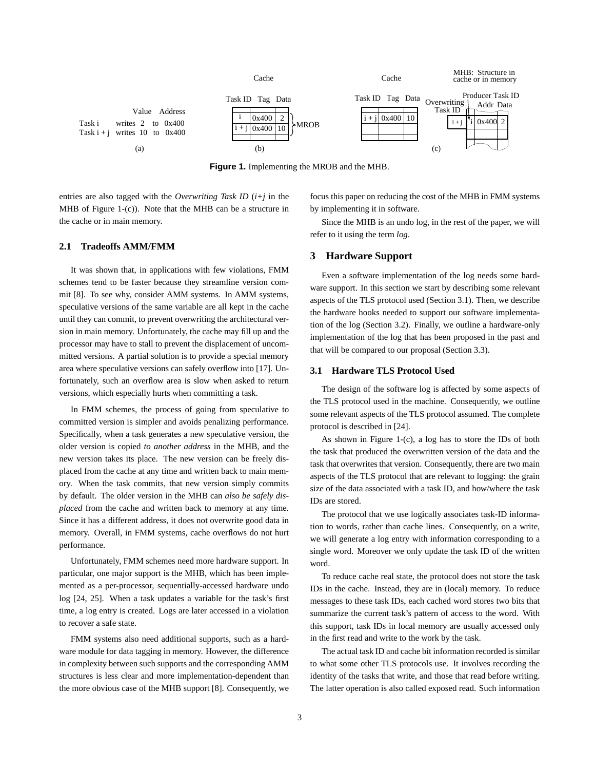

**Figure 1.** Implementing the MROB and the MHB.

entries are also tagged with the *Overwriting Task ID* (*i+j* in the MHB of Figure 1-(c)). Note that the MHB can be a structure in the cache or in main memory.

focus this paper on reducing the cost of the MHB in FMM systems by implementing it in software.

#### **2.1 Tradeoffs AMM/FMM**

It was shown that, in applications with few violations, FMM schemes tend to be faster because they streamline version commit [8]. To see why, consider AMM systems. In AMM systems, speculative versions of the same variable are all kept in the cache until they can commit, to prevent overwriting the architectural version in main memory. Unfortunately, the cache may fill up and the processor may have to stall to prevent the displacement of uncommitted versions. A partial solution is to provide a special memory area where speculative versions can safely overflow into [17]. Unfortunately, such an overflow area is slow when asked to return versions, which especially hurts when committing a task.

In FMM schemes, the process of going from speculative to committed version is simpler and avoids penalizing performance. Specifically, when a task generates a new speculative version, the older version is copied *to another address* in the MHB, and the new version takes its place. The new version can be freely displaced from the cache at any time and written back to main memory. When the task commits, that new version simply commits by default. The older version in the MHB can *also be safely displaced* from the cache and written back to memory at any time. Since it has a different address, it does not overwrite good data in memory. Overall, in FMM systems, cache overflows do not hurt performance.

Unfortunately, FMM schemes need more hardware support. In particular, one major support is the MHB, which has been implemented as a per-processor, sequentially-accessed hardware undo log [24, 25]. When a task updates a variable for the task's first time, a log entry is created. Logs are later accessed in a violation to recover a safe state.

FMM systems also need additional supports, such as a hardware module for data tagging in memory. However, the difference in complexity between such supports and the corresponding AMM structures is less clear and more implementation-dependent than the more obvious case of the MHB support [8]. Consequently, we

Since the MHB is an undo log, in the rest of the paper, we will refer to it using the term *log*.

# **3 Hardware Support**

Even a software implementation of the log needs some hardware support. In this section we start by describing some relevant aspects of the TLS protocol used (Section 3.1). Then, we describe the hardware hooks needed to support our software implementation of the log (Section 3.2). Finally, we outline a hardware-only implementation of the log that has been proposed in the past and that will be compared to our proposal (Section 3.3).

# **3.1 Hardware TLS Protocol Used**

The design of the software log is affected by some aspects of the TLS protocol used in the machine. Consequently, we outline some relevant aspects of the TLS protocol assumed. The complete protocol is described in [24].

As shown in Figure 1-(c), a log has to store the IDs of both the task that produced the overwritten version of the data and the task that overwrites that version. Consequently, there are two main aspects of the TLS protocol that are relevant to logging: the grain size of the data associated with a task ID, and how/where the task IDs are stored.

The protocol that we use logically associates task-ID information to words, rather than cache lines. Consequently, on a write, we will generate a log entry with information corresponding to a single word. Moreover we only update the task ID of the written word.

To reduce cache real state, the protocol does not store the task IDs in the cache. Instead, they are in (local) memory. To reduce messages to these task IDs, each cached word stores two bits that summarize the current task's pattern of access to the word. With this support, task IDs in local memory are usually accessed only in the first read and write to the work by the task.

The actual task ID and cache bit information recorded is similar to what some other TLS protocols use. It involves recording the identity of the tasks that write, and those that read before writing. The latter operation is also called exposed read. Such information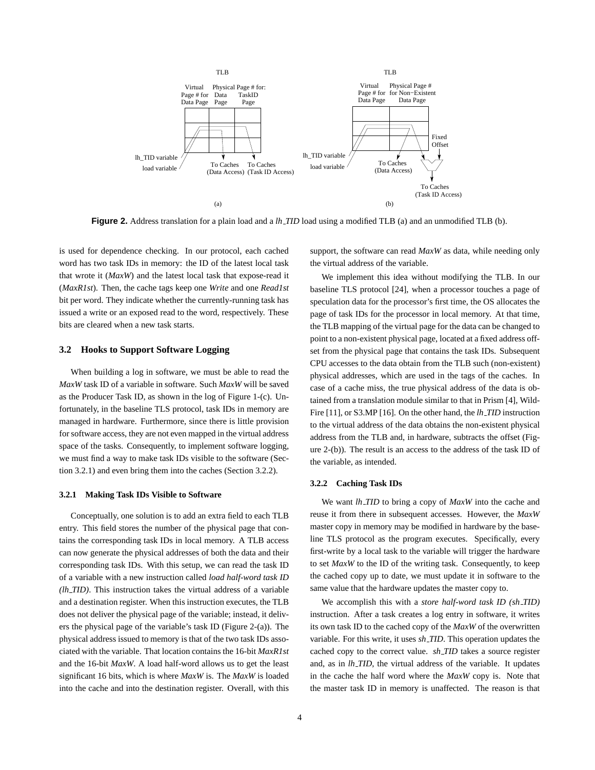

**Figure 2.** Address translation for a plain load and a *lh TID* load using a modified TLB (a) and an unmodified TLB (b).

is used for dependence checking. In our protocol, each cached word has two task IDs in memory: the ID of the latest local task that wrote it (*MaxW*) and the latest local task that expose-read it (*MaxR1st*). Then, the cache tags keep one *Write* and one *Read1st* bit per word. They indicate whether the currently-running task has issued a write or an exposed read to the word, respectively. These bits are cleared when a new task starts.

### **3.2 Hooks to Support Software Logging**

When building a log in software, we must be able to read the *MaxW* task ID of a variable in software. Such *MaxW* will be saved as the Producer Task ID, as shown in the log of Figure 1-(c). Unfortunately, in the baseline TLS protocol, task IDs in memory are managed in hardware. Furthermore, since there is little provision for software access, they are not even mapped in the virtual address space of the tasks. Consequently, to implement software logging, we must find a way to make task IDs visible to the software (Section 3.2.1) and even bring them into the caches (Section 3.2.2).

#### **3.2.1 Making Task IDs Visible to Software**

Conceptually, one solution is to add an extra field to each TLB entry. This field stores the number of the physical page that contains the corresponding task IDs in local memory. A TLB access can now generate the physical addresses of both the data and their corresponding task IDs. With this setup, we can read the task ID of a variable with a new instruction called *load half-word task ID (lh TID)*. This instruction takes the virtual address of a variable and a destination register. When this instruction executes, the TLB does not deliver the physical page of the variable; instead, it delivers the physical page of the variable's task ID (Figure 2-(a)). The physical address issued to memory is that of the two task IDs associated with the variable. That location contains the 16-bit *MaxR1st* and the 16-bit *MaxW*. A load half-word allows us to get the least significant 16 bits, which is where *MaxW* is. The *MaxW* is loaded into the cache and into the destination register. Overall, with this

support, the software can read *MaxW* as data, while needing only the virtual address of the variable.

We implement this idea without modifying the TLB. In our baseline TLS protocol [24], when a processor touches a page of speculation data for the processor's first time, the OS allocates the page of task IDs for the processor in local memory. At that time, the TLB mapping of the virtual page for the data can be changed to point to a non-existent physical page, located at a fixed address offset from the physical page that contains the task IDs. Subsequent CPU accesses to the data obtain from the TLB such (non-existent) physical addresses, which are used in the tags of the caches. In case of a cache miss, the true physical address of the data is obtained from a translation module similar to that in Prism [4], Wild-Fire [11], or S3.MP [16]. On the other hand, the *lh TID* instruction to the virtual address of the data obtains the non-existent physical address from the TLB and, in hardware, subtracts the offset (Figure 2-(b)). The result is an access to the address of the task ID of the variable, as intended.

#### **3.2.2 Caching Task IDs**

We want *lh TID* to bring a copy of *MaxW* into the cache and reuse it from there in subsequent accesses. However, the *MaxW* master copy in memory may be modified in hardware by the baseline TLS protocol as the program executes. Specifically, every first-write by a local task to the variable will trigger the hardware to set *MaxW* to the ID of the writing task. Consequently, to keep the cached copy up to date, we must update it in software to the same value that the hardware updates the master copy to.

We accomplish this with a *store half-word task ID (sh TID)* instruction. After a task creates a log entry in software, it writes its own task ID to the cached copy of the *MaxW* of the overwritten variable. For this write, it uses *sh TID*. This operation updates the cached copy to the correct value. *sh TID* takes a source register and, as in *lh TID*, the virtual address of the variable. It updates in the cache the half word where the *MaxW* copy is. Note that the master task ID in memory is unaffected. The reason is that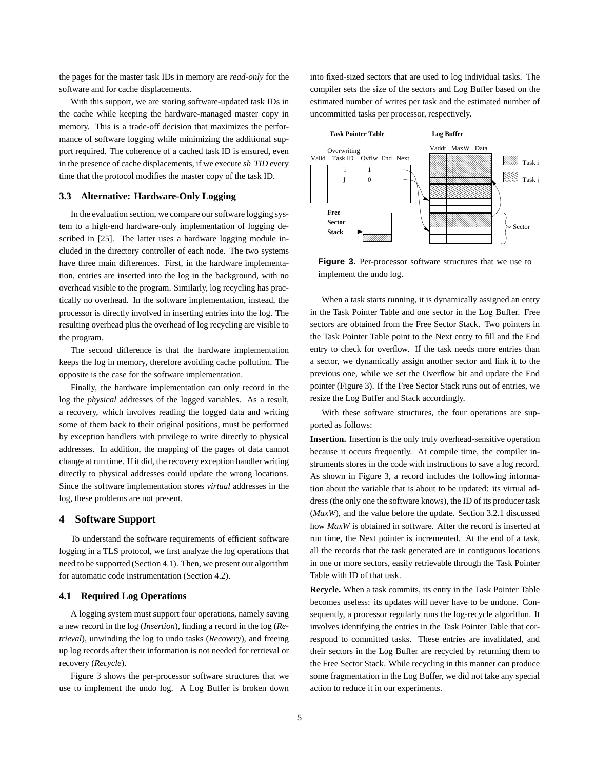the pages for the master task IDs in memory are *read-only* for the software and for cache displacements.

With this support, we are storing software-updated task IDs in the cache while keeping the hardware-managed master copy in memory. This is a trade-off decision that maximizes the performance of software logging while minimizing the additional support required. The coherence of a cached task ID is ensured, even in the presence of cache displacements, if we execute *sh TID* every time that the protocol modifies the master copy of the task ID.

### **3.3 Alternative: Hardware-Only Logging**

In the evaluation section, we compare oursoftware logging system to a high-end hardware-only implementation of logging described in [25]. The latter uses a hardware logging module included in the directory controller of each node. The two systems have three main differences. First, in the hardware implementation, entries are inserted into the log in the background, with no overhead visible to the program. Similarly, log recycling has practically no overhead. In the software implementation, instead, the processor is directly involved in inserting entries into the log. The resulting overhead plus the overhead of log recycling are visible to the program.

The second difference is that the hardware implementation keeps the log in memory, therefore avoiding cache pollution. The opposite is the case for the software implementation.

Finally, the hardware implementation can only record in the log the *physical* addresses of the logged variables. As a result, a recovery, which involves reading the logged data and writing some of them back to their original positions, must be performed by exception handlers with privilege to write directly to physical addresses. In addition, the mapping of the pages of data cannot change at run time. If it did, the recovery exception handler writing directly to physical addresses could update the wrong locations. Since the software implementation stores *virtual* addresses in the log, these problems are not present.

# **4 Software Support**

To understand the software requirements of efficient software logging in a TLS protocol, we first analyze the log operations that need to be supported (Section 4.1). Then, we present our algorithm for automatic code instrumentation (Section 4.2).

# **4.1 Required Log Operations**

A logging system must support four operations, namely saving a new record in the log (*Insertion*), finding a record in the log (*Retrieval*), unwinding the log to undo tasks (*Recovery*), and freeing up log records after their information is not needed for retrieval or recovery (*Recycle*).

Figure 3 shows the per-processor software structures that we use to implement the undo log. A Log Buffer is broken down into fixed-sized sectors that are used to log individual tasks. The compiler sets the size of the sectors and Log Buffer based on the estimated number of writes per task and the estimated number of uncommitted tasks per processor, respectively.



**Figure 3.** Per-processor software structures that we use to implement the undo log.

When a task starts running, it is dynamically assigned an entry in the Task Pointer Table and one sector in the Log Buffer. Free sectors are obtained from the Free Sector Stack. Two pointers in the Task Pointer Table point to the Next entry to fill and the End entry to check for overflow. If the task needs more entries than a sector, we dynamically assign another sector and link it to the previous one, while we set the Overflow bit and update the End pointer (Figure 3). If the Free Sector Stack runs out of entries, we resize the Log Buffer and Stack accordingly.

With these software structures, the four operations are supported as follows:

**Insertion.** Insertion is the only truly overhead-sensitive operation because it occurs frequently. At compile time, the compiler instruments stores in the code with instructions to save a log record. As shown in Figure 3, a record includes the following information about the variable that is about to be updated: its virtual address (the only one the software knows), the ID of its producer task (*MaxW*), and the value before the update. Section 3.2.1 discussed how *MaxW* is obtained in software. After the record is inserted at run time, the Next pointer is incremented. At the end of a task, all the records that the task generated are in contiguous locations in one or more sectors, easily retrievable through the Task Pointer Table with ID of that task.

**Recycle.** When a task commits, its entry in the Task Pointer Table becomes useless: its updates will never have to be undone. Consequently, a processor regularly runs the log-recycle algorithm. It involves identifying the entries in the Task Pointer Table that correspond to committed tasks. These entries are invalidated, and their sectors in the Log Buffer are recycled by returning them to the Free Sector Stack. While recycling in this manner can produce some fragmentation in the Log Buffer, we did not take any special action to reduce it in our experiments.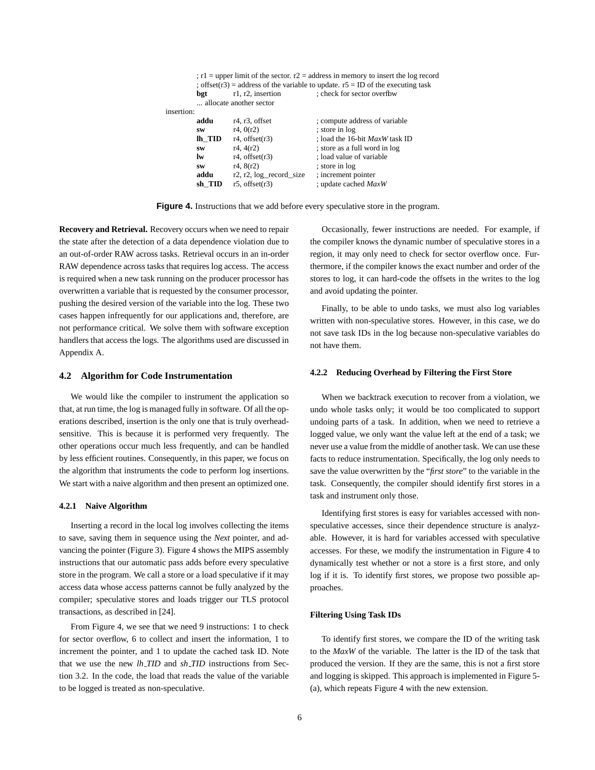|     |                         | ; $r1 =$ upper limit of the sector. $r2 =$ address in memory to insert the log record |
|-----|-------------------------|---------------------------------------------------------------------------------------|
|     |                         | ; offset(r3) = address of the variable to update. $r5 = ID$ of the executing task     |
| bgt | r1, r2, insertion       | : check for sector overfbw                                                            |
|     | allocate another sector |                                                                                       |

| insertion: |        |                                 |                                       |
|------------|--------|---------------------------------|---------------------------------------|
|            | addu   | $r4, r3$ , offset               | ; compute address of variable         |
|            | SW     | r4, 0(r2)                       | ; store in log                        |
|            | lh TID | $r4$ , offset $(r3)$            | : load the 16-bit <i>MaxW</i> task ID |
|            | SW     | r4, 4(r2)                       | ; store as a full word in log         |
|            | lw     | $r4$ , offset $(r3)$            | ; load value of variable              |
|            | SW     | r4, 8(r2)                       | ; store in log                        |
|            | addu   | $r2$ , $r2$ , $log$ record size | ; increment pointer                   |
|            | sh TID | $r5$ , offset $(r3)$            | ; update cached MaxW                  |
|            |        |                                 |                                       |

**Figure 4.** Instructions that we add before every speculative store in the program.

**Recovery and Retrieval.** Recovery occurs when we need to repair the state after the detection of a data dependence violation due to an out-of-order RAW across tasks. Retrieval occurs in an in-order RAW dependence across tasks that requires log access. The access is required when a new task running on the producer processor has overwritten a variable that is requested by the consumer processor, pushing the desired version of the variable into the log. These two cases happen infrequently for our applications and, therefore, are not performance critical. We solve them with software exception handlers that access the logs. The algorithms used are discussed in Appendix A.

### **4.2 Algorithm for Code Instrumentation**

We would like the compiler to instrument the application so that, at run time, the log is managed fully in software. Of all the operations described, insertion is the only one that is truly overheadsensitive. This is because it is performed very frequently. The other operations occur much less frequently, and can be handled by less efficient routines. Consequently, in this paper, we focus on the algorithm that instruments the code to perform log insertions. We start with a naive algorithm and then present an optimized one.

#### **4.2.1 Naive Algorithm**

Inserting a record in the local log involves collecting the items to save, saving them in sequence using the *Next* pointer, and advancing the pointer (Figure 3). Figure 4 shows the MIPS assembly instructions that our automatic pass adds before every speculative store in the program. We call a store or a load speculative if it may access data whose access patterns cannot be fully analyzed by the compiler; speculative stores and loads trigger our TLS protocol transactions, as described in [24].

From Figure 4, we see that we need 9 instructions: 1 to check for sector overflow, 6 to collect and insert the information, 1 to increment the pointer, and 1 to update the cached task ID. Note that we use the new *lh TID* and *sh TID* instructions from Section 3.2. In the code, the load that reads the value of the variable to be logged is treated as non-speculative.

Occasionally, fewer instructions are needed. For example, if the compiler knows the dynamic number of speculative stores in a region, it may only need to check for sector overflow once. Furthermore, if the compiler knows the exact number and order of the stores to log, it can hard-code the offsets in the writes to the log and avoid updating the pointer.

Finally, to be able to undo tasks, we must also log variables written with non-speculative stores. However, in this case, we do not save task IDs in the log because non-speculative variables do not have them.

### **4.2.2 Reducing Overhead by Filtering the First Store**

When we backtrack execution to recover from a violation, we undo whole tasks only; it would be too complicated to support undoing parts of a task. In addition, when we need to retrieve a logged value, we only want the value left at the end of a task; we never use a value from the middle of another task. We can use these facts to reduce instrumentation. Specifically, the log only needs to save the value overwritten by the "*first store*" to the variable in the task. Consequently, the compiler should identify first stores in a task and instrument only those.

Identifying first stores is easy for variables accessed with nonspeculative accesses, since their dependence structure is analyzable. However, it is hard for variables accessed with speculative accesses. For these, we modify the instrumentation in Figure 4 to dynamically test whether or not a store is a first store, and only log if it is. To identify first stores, we propose two possible approaches.

### **Filtering Using Task IDs**

To identify first stores, we compare the ID of the writing task to the *MaxW* of the variable. The latter is the ID of the task that produced the version. If they are the same, this is not a first store and logging is skipped. This approach is implemented in Figure 5- (a), which repeats Figure 4 with the new extension.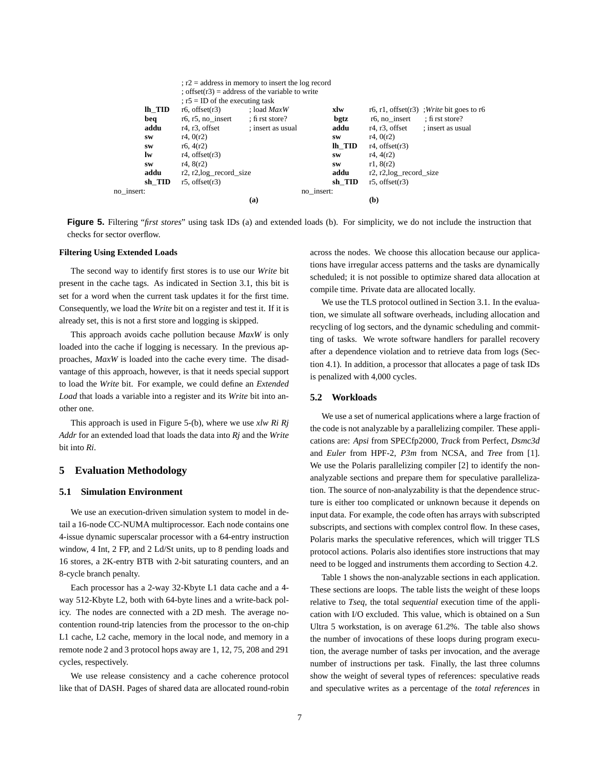|            |           |                                          | $: r2 =$ address in memory to insert the log record |            |                            |                                              |
|------------|-----------|------------------------------------------|-----------------------------------------------------|------------|----------------------------|----------------------------------------------|
|            |           |                                          | ; offset $(r3)$ = address of the variable to write  |            |                            |                                              |
|            |           | $\tau$ ; r5 = ID of the executing task   |                                                     |            |                            |                                              |
|            | lh TID    | $r6$ , offset $(r3)$                     | : load $MaxW$                                       | xlw        |                            | r6, r1, offset $(r3)$ ; Write bit goes to r6 |
|            | beq       | $r6$ , $r5$ , no insert                  | : first store?                                      | bgtz       | $r6$ , no insert           | $:$ fi rst store?                            |
|            | addu      | r <sub>4</sub> , r <sub>3</sub> , offset | ; insert as usual                                   | addu       | $r4, r3$ , offset          | ; insert as usual                            |
|            | <b>SW</b> | r4.0(r2)                                 |                                                     | <b>SW</b>  | r4, 0(r2)                  |                                              |
|            | SW        | r6, 4(r2)                                |                                                     | lh TID     | $r4$ , offset $(r3)$       |                                              |
|            | lw        | $r4$ , offset $(r3)$                     |                                                     | <b>SW</b>  | r4, 4(r2)                  |                                              |
|            | <b>SW</b> | r4, 8(r2)                                |                                                     | <b>SW</b>  | r1, 8(r2)                  |                                              |
|            | addu      | $r2, r2, \log$ record size               |                                                     | addu       | $r2, r2, \log$ record size |                                              |
|            | sh TID    | $r5.$ offset $(r3)$                      |                                                     | sh TID     | $r5$ , offset $(r3)$       |                                              |
| no insert: |           |                                          |                                                     | no_insert: |                            |                                              |
|            |           |                                          | (a)                                                 |            | (b)                        |                                              |

**Figure 5.** Filtering "*first stores*" using task IDs (a) and extended loads (b). For simplicity, we do not include the instruction that checks for sector overflow.

#### **Filtering Using Extended Loads**

The second way to identify first stores is to use our *Write* bit present in the cache tags. As indicated in Section 3.1, this bit is set for a word when the current task updates it for the first time. Consequently, we load the *Write* bit on a register and test it. If it is already set, this is not a first store and logging is skipped.

This approach avoids cache pollution because *MaxW* is only loaded into the cache if logging is necessary. In the previous approaches, *MaxW* is loaded into the cache every time. The disadvantage of this approach, however, is that it needs special support to load the *Write* bit. For example, we could define an *Extended Load* that loads a variable into a register and its *Write* bit into another one.

This approach is used in Figure 5-(b), where we use *xlw Ri Rj Addr* for an extended load that loads the data into *Rj* and the *Write* bit into *Ri*.

# **5 Evaluation Methodology**

### **5.1 Simulation Environment**

We use an execution-driven simulation system to model in detail a 16-node CC-NUMA multiprocessor. Each node contains one 4-issue dynamic superscalar processor with a 64-entry instruction window, 4 Int, 2 FP, and 2 Ld/St units, up to 8 pending loads and 16 stores, a 2K-entry BTB with 2-bit saturating counters, and an 8-cycle branch penalty.

Each processor has a 2-way 32-Kbyte L1 data cache and a 4 way 512-Kbyte L2, both with 64-byte lines and a write-back policy. The nodes are connected with a 2D mesh. The average nocontention round-trip latencies from the processor to the on-chip L1 cache, L2 cache, memory in the local node, and memory in a remote node 2 and 3 protocol hops away are 1, 12, 75, 208 and 291 cycles, respectively.

We use release consistency and a cache coherence protocol like that of DASH. Pages of shared data are allocated round-robin across the nodes. We choose this allocation because our applications have irregular access patterns and the tasks are dynamically scheduled; it is not possible to optimize shared data allocation at compile time. Private data are allocated locally.

We use the TLS protocol outlined in Section 3.1. In the evaluation, we simulate all software overheads, including allocation and recycling of log sectors, and the dynamic scheduling and committing of tasks. We wrote software handlers for parallel recovery after a dependence violation and to retrieve data from logs (Section 4.1). In addition, a processor that allocates a page of task IDs is penalized with 4,000 cycles.

#### **5.2 Workloads**

We use a set of numerical applications where a large fraction of the code is not analyzable by a parallelizing compiler. These applications are: *Apsi* from SPECfp2000, *Track* from Perfect, *Dsmc3d* and *Euler* from HPF-2, *P3m* from NCSA, and *Tree* from [1]. We use the Polaris parallelizing compiler [2] to identify the nonanalyzable sections and prepare them for speculative parallelization. The source of non-analyzability is that the dependence structure is either too complicated or unknown because it depends on input data. For example, the code often has arrays with subscripted subscripts, and sections with complex control flow. In these cases, Polaris marks the speculative references, which will trigger TLS protocol actions. Polaris also identifies store instructions that may need to be logged and instruments them according to Section 4.2.

Table 1 shows the non-analyzable sections in each application. These sections are loops. The table lists the weight of these loops relative to *Tseq*, the total *sequential* execution time of the application with I/O excluded. This value, which is obtained on a Sun Ultra 5 workstation, is on average 61.2%. The table also shows the number of invocations of these loops during program execution, the average number of tasks per invocation, and the average number of instructions per task. Finally, the last three columns show the weight of several types of references: speculative reads and speculative writes as a percentage of the *total references* in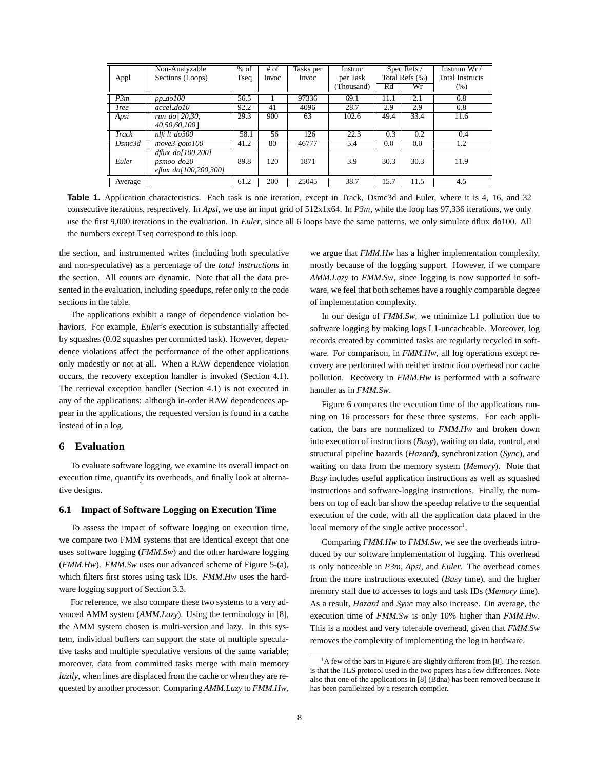| Appl        | Non-Analyzable<br>Sections (Loops)                                              | $%$ of<br>Tseq | $#$ of<br>Invoc | Tasks per<br><b>Invoc</b> | Instruc<br>per Task<br>Thousand) | Rd   | Spec Refs /<br>Total Refs (%)<br>Wr | Instrum $Wr/$<br><b>Total Instructs</b><br>$(\% )$ |
|-------------|---------------------------------------------------------------------------------|----------------|-----------------|---------------------------|----------------------------------|------|-------------------------------------|----------------------------------------------------|
| P3m         | $pp$ $do100$                                                                    | 56.5           |                 | 97336                     | 69.1                             | 11.1 | 2.1                                 | 0.8                                                |
| <b>Tree</b> | accel_do10                                                                      | 92.2           | 41              | 4096                      | 28.7                             | 2.9  | 2.9                                 | 0.8                                                |
| Apsi        | run_do[20,30,                                                                   | 29.3           | 900             | 63                        | 102.6                            | 49.4 | 33.4                                | 11.6                                               |
|             | 40,50,60,100]                                                                   |                |                 |                           |                                  |      |                                     |                                                    |
| Track       | $n$ lfi lt do 300                                                               | 58.1           | 56              | 126                       | 22.3                             | 0.3  | 0.2                                 | 0.4                                                |
| Dsmc3d      | $move3$ goto $100$                                                              | 41.2           | 80              | 46777                     | 5.4                              | 0.0  | 0.0                                 | 1.2                                                |
| Euler       | $d$ flux_ $d$ o[100,200]<br>$psmoo$ <sub>do</sub> $20$<br>eflux_do[100,200,300] | 89.8           | 120             | 1871                      | 3.9                              | 30.3 | 30.3                                | 11.9                                               |
| Average     |                                                                                 | 61.2           | 200             | 25045                     | 38.7                             | 15.7 | 11.5                                | 4.5                                                |

**Table 1.** Application characteristics. Each task is one iteration, except in Track, Dsmc3d and Euler, where it is 4, 16, and 32 consecutive iterations, respectively. In *Apsi*, we use an input grid of 512x1x64. In *P3m*, while the loop has 97,336 iterations, we only use the first 9,000 iterations in the evaluation. In *Euler*, since all 6 loops have the same patterns, we only simulate dflux do100. All the numbers except Tseq correspond to this loop.

the section, and instrumented writes (including both speculative and non-speculative) as a percentage of the *total instructions* in the section. All counts are dynamic. Note that all the data presented in the evaluation, including speedups, refer only to the code sections in the table.

The applications exhibit a range of dependence violation behaviors. For example, *Euler*'s execution is substantially affected by squashes (0.02 squashes per committed task). However, dependence violations affect the performance of the other applications only modestly or not at all. When a RAW dependence violation occurs, the recovery exception handler is invoked (Section 4.1). The retrieval exception handler (Section 4.1) is not executed in any of the applications: although in-order RAW dependences appear in the applications, the requested version is found in a cache instead of in a log.

### **6 Evaluation**

To evaluate software logging, we examine its overall impact on execution time, quantify its overheads, and finally look at alternative designs.

### **6.1 Impact of Software Logging on Execution Time**

To assess the impact of software logging on execution time, we compare two FMM systems that are identical except that one uses software logging (*FMM.Sw*) and the other hardware logging (*FMM.Hw*). *FMM.Sw* uses our advanced scheme of Figure 5-(a), which filters first stores using task IDs. *FMM.Hw* uses the hardware logging support of Section 3.3.

For reference, we also compare these two systems to a very advanced AMM system (*AMM.Lazy*). Using the terminology in [8], the AMM system chosen is multi-version and lazy. In this system, individual buffers can support the state of multiple speculative tasks and multiple speculative versions of the same variable; moreover, data from committed tasks merge with main memory *lazily*, when lines are displaced from the cache or when they are requested by another processor. Comparing *AMM.Lazy* to *FMM.Hw*, we argue that *FMM.Hw* has a higher implementation complexity, mostly because of the logging support. However, if we compare *AMM.Lazy* to *FMM.Sw*, since logging is now supported in software, we feel that both schemes have a roughly comparable degree of implementation complexity.

In our design of *FMM.Sw*, we minimize L1 pollution due to software logging by making logs L1-uncacheable. Moreover, log records created by committed tasks are regularly recycled in software. For comparison, in *FMM.Hw*, all log operations except recovery are performed with neither instruction overhead nor cache pollution. Recovery in *FMM.Hw* is performed with a software handler as in *FMM.Sw*.

Figure 6 compares the execution time of the applications running on 16 processors for these three systems. For each application, the bars are normalized to *FMM.Hw* and broken down into execution of instructions (*Busy*), waiting on data, control, and structural pipeline hazards (*Hazard*), synchronization (*Sync*), and waiting on data from the memory system (*Memory*). Note that *Busy* includes useful application instructions as well as squashed instructions and software-logging instructions. Finally, the numbers on top of each bar show the speedup relative to the sequential execution of the code, with all the application data placed in the local memory of the single active processor $<sup>1</sup>$ .</sup>

Comparing *FMM.Hw* to *FMM.Sw*, we see the overheads introduced by our software implementation of logging. This overhead is only noticeable in *P3m*, *Apsi*, and *Euler*. The overhead comes from the more instructions executed (*Busy* time), and the higher memory stall due to accesses to logs and task IDs (*Memory* time). As a result, *Hazard* and *Sync* may also increase. On average, the execution time of *FMM.Sw* is only 10% higher than *FMM.Hw*. This is a modest and very tolerable overhead, given that *FMM.Sw* removes the complexity of implementing the log in hardware.

 $<sup>1</sup>A$  few of the bars in Figure 6 are slightly different from [8]. The reason</sup> is that the TLS protocol used in the two papers has a few differences. Note also that one of the applications in [8] (Bdna) has been removed because it has been parallelized by a research compiler.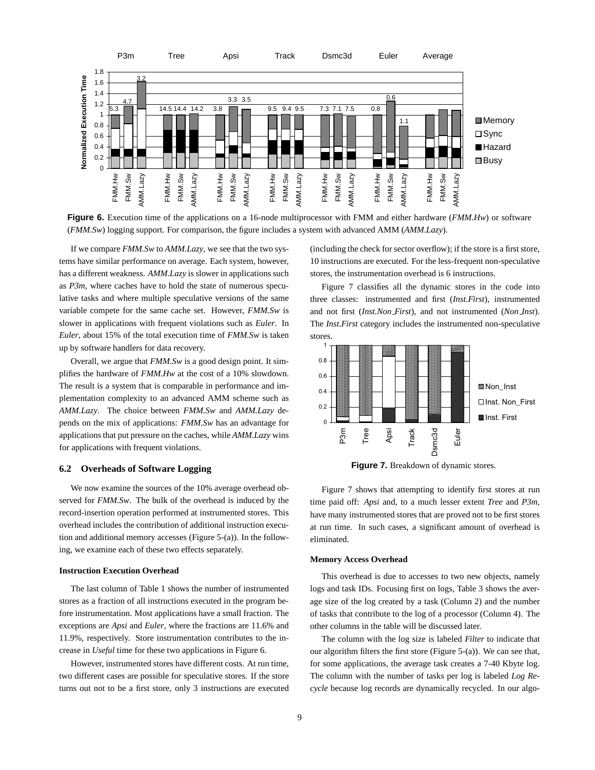

**Figure 6.** Execution time of the applications on a 16-node multiprocessor with FMM and either hardware (*FMM.Hw*) or software (*FMM.Sw*) logging support. For comparison, the figure includes a system with advanced AMM (*AMM.Lazy*).

If we compare *FMM.Sw* to *AMM.Lazy*, we see that the two systems have similar performance on average. Each system, however, has a different weakness. *AMM.Lazy* is slower in applications such as *P3m*, where caches have to hold the state of numerous speculative tasks and where multiple speculative versions of the same variable compete for the same cache set. However, *FMM.Sw* is slower in applications with frequent violations such as *Euler*. In *Euler*, about 15% of the total execution time of *FMM.Sw* is taken up by software handlers for data recovery.

Overall, we argue that *FMM.Sw* is a good design point. It simplifies the hardware of *FMM.Hw* at the cost of a 10% slowdown. The result is a system that is comparable in performance and implementation complexity to an advanced AMM scheme such as *AMM.Lazy*. The choice between *FMM.Sw* and *AMM.Lazy* depends on the mix of applications: *FMM.Sw* has an advantage for applicationsthat put pressure on the caches, while *AMM.Lazy* wins for applications with frequent violations.

### **6.2 Overheads of Software Logging**

We now examine the sources of the 10% average overhead observed for *FMM.Sw*. The bulk of the overhead is induced by the record-insertion operation performed at instrumented stores. This overhead includes the contribution of additional instruction execution and additional memory accesses (Figure 5-(a)). In the following, we examine each of these two effects separately.

### **Instruction Execution Overhead**

The last column of Table 1 shows the number of instrumented stores as a fraction of all instructions executed in the program before instrumentation. Most applications have a small fraction. The exceptions are *Apsi* and *Euler*, where the fractions are 11.6% and 11.9%, respectively. Store instrumentation contributes to the increase in *Useful* time for these two applications in Figure 6.

However, instrumented stores have different costs. At run time, two different cases are possible for speculative stores. If the store turns out not to be a first store, only 3 instructions are executed (including the check for sector overflow); if the store is a first store, 10 instructions are executed. For the less-frequent non-speculative stores, the instrumentation overhead is 6 instructions.

Figure 7 classifies all the dynamic stores in the code into three classes: instrumented and first (*Inst.First*), instrumented and not first (*Inst.Non First*), and not instrumented (*Non Inst*). The *Inst.First* category includes the instrumented non-speculative stores.



**Figure 7.** Breakdown of dynamic stores.

Figure 7 shows that attempting to identify first stores at run time paid off: *Apsi* and, to a much lesser extent *Tree* and *P3m*, have many instrumented stores that are proved not to be first stores at run time. In such cases, a significant amount of overhead is eliminated.

#### **Memory Access Overhead**

This overhead is due to accesses to two new objects, namely logs and task IDs. Focusing first on logs, Table 3 shows the average size of the log created by a task (Column 2) and the number of tasks that contribute to the log of a processor (Column 4). The other columns in the table will be discussed later.

The column with the log size is labeled *Filter* to indicate that our algorithm filters the first store (Figure 5-(a)). We can see that, for some applications, the average task creates a 7-40 Kbyte log. The column with the number of tasks per log is labeled *Log Recycle* because log records are dynamically recycled. In our algo-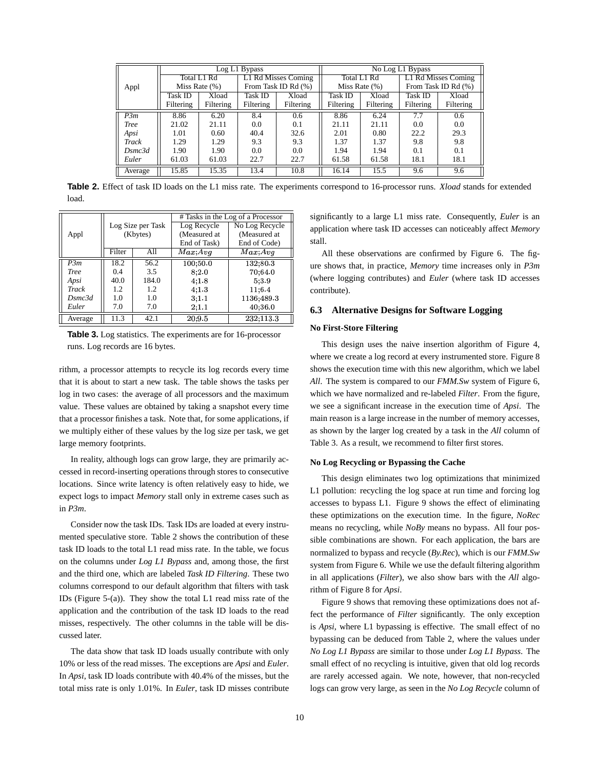|              |           |                  | $\overline{\text{Log}}$ L1 Bypass |                     | No Log L1 Bypass |                   |           |                     |
|--------------|-----------|------------------|-----------------------------------|---------------------|------------------|-------------------|-----------|---------------------|
|              |           | Total L1 Rd      |                                   | L1 Rd Misses Coming |                  | Total L1 Rd       |           | L1 Rd Misses Coming |
| Appl         |           | Miss Rate $(\%)$ |                                   | From Task ID Rd (%) |                  | Miss Rate $(\% )$ |           | From Task ID Rd (%) |
|              | Task ID   | Xload            | Task ID                           | Xload               | Task ID          | Xload             | Task ID   | Xload               |
|              | Filtering | Filtering        | Filtering                         | Filtering           | Filtering        | Filtering         | Filtering | Filtering           |
| P3m          | 8.86      | 6.20             | 8.4                               | 0.6                 | 8.86             | 6.24              | 7.7       | 0.6                 |
| Tree         | 21.02     | 21.11            | 0.0                               | 0.1                 | 21.11            | 21.11             | 0.0       | 0.0                 |
| Apsi         | 1.01      | 0.60             | 40.4                              | 32.6                | 2.01             | 0.80              | 22.2      | 29.3                |
| Track        | 1.29      | 1.29             | 9.3                               | 9.3                 | 1.37             | 1.37              | 9.8       | 9.8                 |
| Dsmc3d       | 1.90      | 1.90             | 0.0                               | 0.0                 | 1.94             | 1.94              | 0.1       | 0.1                 |
| Euler        | 61.03     | 61.03            | 22.7                              | 22.7                | 61.58            | 61.58             | 18.1      | 18.1                |
| Ш<br>Average | 15.85     | 15.35            | 13.4                              | 10.8                | 16.14            | 15.5              | 9.6       | 9.6                 |

Table 2. Effect of task ID loads on the L1 miss rate. The experiments correspond to 16-processor runs. *Xload* stands for extended load.

|             |        |                   | # Tasks in the Log of a Processor |                |  |  |
|-------------|--------|-------------------|-----------------------------------|----------------|--|--|
|             |        | Log Size per Task | Log Recycle                       | No Log Recycle |  |  |
| Appl        |        | (Kbytes)          | (Measured at                      | (Measured at   |  |  |
|             |        |                   | End of Task)                      | End of Code)   |  |  |
|             | Filter | All               | Max, Avq                          | Max:Avg        |  |  |
| P.3m        | 18.2   | 56.2              | 100, 50.0                         | 132,80.3       |  |  |
| <b>Tree</b> | 0.4    | 3.5               | 8:2.0                             | 70:64.0        |  |  |
| Apsi        | 40.0   | 184.0             | 4, 1.8                            | 5:3.9          |  |  |
| Track       | 1.2    | 1.2               | 4:1.3                             | 11:6.4         |  |  |
| Dsmc3d      | 1.0    | 1.0               | 3:1.1                             | 1136:489.3     |  |  |
| Euler       | 7.0    | 7.0               | 2:1.1                             | 40:36.0        |  |  |
| Average     | 11.3   | 42.1              | 20:9.5                            | 232.113.3      |  |  |

**Table 3.** Log statistics. The experiments are for 16-processor runs. Log records are 16 bytes.

rithm, a processor attempts to recycle its log records every time that it is about to start a new task. The table shows the tasks per log in two cases: the average of all processors and the maximum value. These values are obtained by taking a snapshot every time that a processor finishes a task. Note that, for some applications, if we multiply either of these values by the log size per task, we get large memory footprints.

In reality, although logs can grow large, they are primarily accessed in record-inserting operations through stores to consecutive locations. Since write latency is often relatively easy to hide, we expect logs to impact *Memory* stall only in extreme cases such as in *P3m*.

Consider now the task IDs. Task IDs are loaded at every instrumented speculative store. Table 2 shows the contribution of these task ID loads to the total L1 read miss rate. In the table, we focus on the columns under *Log L1 Bypass* and, among those, the first and the third one, which are labeled *Task ID Filtering*. These two columns correspond to our default algorithm that filters with task IDs (Figure 5-(a)). They show the total L1 read miss rate of the application and the contribution of the task ID loads to the read misses, respectively. The other columns in the table will be discussed later.

The data show that task ID loads usually contribute with only 10% or less of the read misses. The exceptions are *Apsi* and *Euler*. In *Apsi*, task ID loads contribute with 40.4% of the misses, but the total miss rate is only 1.01%. In *Euler*, task ID misses contribute significantly to a large L1 miss rate. Consequently, *Euler* is an application where task ID accesses can noticeably affect *Memory* stall.

All these observations are confirmed by Figure 6. The figure shows that, in practice, *Memory* time increases only in *P3m* (where logging contributes) and *Euler* (where task ID accesses contribute).

# **6.3 Alternative Designs for Software Logging**

### **No First-Store Filtering**

This design uses the naive insertion algorithm of Figure 4, where we create a log record at every instrumented store. Figure 8 shows the execution time with this new algorithm, which we label *All*. The system is compared to our *FMM.Sw* system of Figure 6, which we have normalized and re-labeled *Filter*. From the figure, we see a significant increase in the execution time of *Apsi*. The main reason is a large increase in the number of memory accesses, as shown by the larger log created by a task in the *All* column of Table 3. As a result, we recommend to filter first stores.

#### **No Log Recycling or Bypassing the Cache**

This design eliminates two log optimizations that minimized L1 pollution: recycling the log space at run time and forcing log accesses to bypass L1. Figure 9 shows the effect of eliminating these optimizations on the execution time. In the figure, *NoRec* means no recycling, while *NoBy* means no bypass. All four possible combinations are shown. For each application, the bars are normalized to bypass and recycle (*By.Rec*), which is our *FMM.Sw* system from Figure 6. While we use the default filtering algorithm in all applications (*Filter*), we also show bars with the *All* algorithm of Figure 8 for *Apsi*.

Figure 9 shows that removing these optimizations does not affect the performance of *Filter* significantly. The only exception is *Apsi*, where L1 bypassing is effective. The small effect of no bypassing can be deduced from Table 2, where the values under *No Log L1 Bypass* are similar to those under *Log L1 Bypass*. The small effect of no recycling is intuitive, given that old log records are rarely accessed again. We note, however, that non-recycled logs can grow very large, as seen in the *No Log Recycle* column of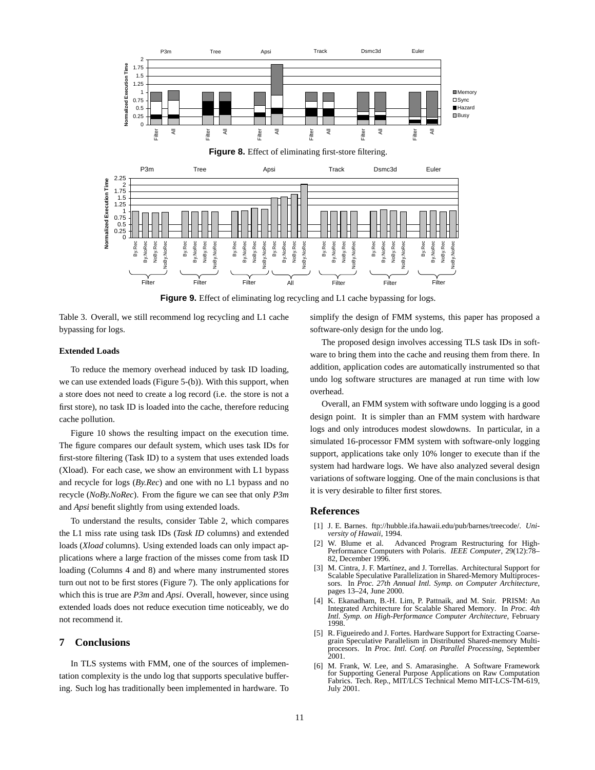

**Figure 9.** Effect of eliminating log recycling and L1 cache bypassing for logs.

Table 3. Overall, we still recommend log recycling and L1 cache bypassing for logs.

### **Extended Loads**

To reduce the memory overhead induced by task ID loading, we can use extended loads (Figure 5-(b)). With this support, when a store does not need to create a log record (i.e. the store is not a first store), no task ID is loaded into the cache, therefore reducing cache pollution.

Figure 10 shows the resulting impact on the execution time. The figure compares our default system, which uses task IDs for first-store filtering (Task ID) to a system that uses extended loads (Xload). For each case, we show an environment with L1 bypass and recycle for logs (*By.Rec*) and one with no L1 bypass and no recycle (*NoBy.NoRec*). From the figure we can see that only *P3m* and *Apsi* benefit slightly from using extended loads.

To understand the results, consider Table 2, which compares the L1 miss rate using task IDs (*Task ID* columns) and extended loads (*Xload* columns). Using extended loads can only impact applications where a large fraction of the misses come from task ID loading (Columns 4 and 8) and where many instrumented stores turn out not to be first stores (Figure 7). The only applications for which this is true are *P3m* and *Apsi*. Overall, however, since using extended loads does not reduce execution time noticeably, we do not recommend it.

# **7 Conclusions**

In TLS systems with FMM, one of the sources of implementation complexity is the undo log that supports speculative buffering. Such log has traditionally been implemented in hardware. To simplify the design of FMM systems, this paper has proposed a software-only design for the undo log.

The proposed design involves accessing TLS task IDs in software to bring them into the cache and reusing them from there. In addition, application codes are automatically instrumented so that undo log software structures are managed at run time with low overhead.

Overall, an FMM system with software undo logging is a good design point. It is simpler than an FMM system with hardware logs and only introduces modest slowdowns. In particular, in a simulated 16-processor FMM system with software-only logging support, applications take only 10% longer to execute than if the system had hardware logs. We have also analyzed several design variations of software logging. One of the main conclusions is that it is very desirable to filter first stores.

### **References**

- [1] J. E. Barnes. ftp://hubble.ifa.hawaii.edu/pub/barnes/treecode/. *University of Hawaii*, 1994.
- [2] W. Blume et al. Advanced Program Restructuring for High-Performance Computers with Polaris. *IEEE Computer*, 29(12):78– 82, December 1996.
- [3] M. Cintra, J. F. Martínez, and J. Torrellas. Architectural Support for Scalable Speculative Parallelization in Shared-Memory Multiprocessors. In *Proc. 27th Annual Intl. Symp. on Computer Architecture*, pages 13–24, June 2000.
- [4] K. Ekanadham, B.-H. Lim, P. Pattnaik, and M. Snir. PRISM: An Integrated Architecture for Scalable Shared Memory. In *Proc. 4th Intl. Symp. on High-Performance Computer Architecture*, February 1998.
- [5] R. Figueiredo and J. Fortes. Hardware Support for Extracting Coarsegrain Speculative Parallelism in Distributed Shared-memory Multiprocesors. In *Proc. Intl. Conf. on Parallel Processing*, September 2001.
- [6] M. Frank, W. Lee, and S. Amarasinghe. A Software Framework for Supporting General Purpose Applications on Raw Computation Fabrics. Tech. Rep., MIT/LCS Technical Memo MIT-LCS-TM-619, July 2001.